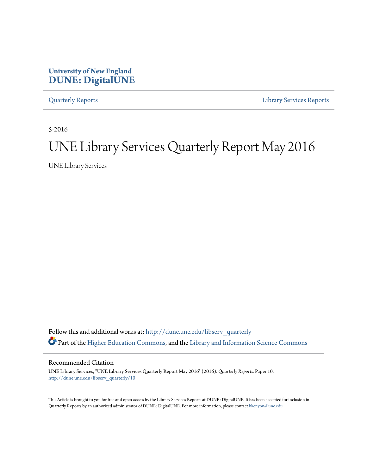## **University of New England [DUNE: DigitalUNE](http://dune.une.edu?utm_source=dune.une.edu%2Flibserv_quarterly%2F10&utm_medium=PDF&utm_campaign=PDFCoverPages)**

[Quarterly Reports](http://dune.une.edu/libserv_quarterly?utm_source=dune.une.edu%2Flibserv_quarterly%2F10&utm_medium=PDF&utm_campaign=PDFCoverPages) [Library Services Reports](http://dune.une.edu/libserv_reports?utm_source=dune.une.edu%2Flibserv_quarterly%2F10&utm_medium=PDF&utm_campaign=PDFCoverPages)

5-2016

# UNE Library Services Quarterly Report May 2016

UNE Library Services

Follow this and additional works at: [http://dune.une.edu/libserv\\_quarterly](http://dune.une.edu/libserv_quarterly?utm_source=dune.une.edu%2Flibserv_quarterly%2F10&utm_medium=PDF&utm_campaign=PDFCoverPages) Part of the [Higher Education Commons](http://network.bepress.com/hgg/discipline/1245?utm_source=dune.une.edu%2Flibserv_quarterly%2F10&utm_medium=PDF&utm_campaign=PDFCoverPages), and the [Library and Information Science Commons](http://network.bepress.com/hgg/discipline/1018?utm_source=dune.une.edu%2Flibserv_quarterly%2F10&utm_medium=PDF&utm_campaign=PDFCoverPages)

Recommended Citation

UNE Library Services, "UNE Library Services Quarterly Report May 2016" (2016). *Quarterly Reports.* Paper 10. [http://dune.une.edu/libserv\\_quarterly/10](http://dune.une.edu/libserv_quarterly/10?utm_source=dune.une.edu%2Flibserv_quarterly%2F10&utm_medium=PDF&utm_campaign=PDFCoverPages)

This Article is brought to you for free and open access by the Library Services Reports at DUNE: DigitalUNE. It has been accepted for inclusion in Quarterly Reports by an authorized administrator of DUNE: DigitalUNE. For more information, please contact [bkenyon@une.edu.](mailto:bkenyon@une.edu)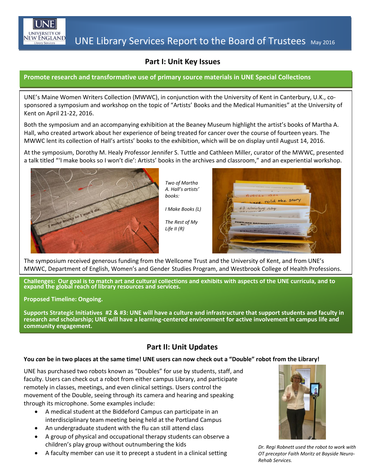

## **Part I: Unit Key Issues**

#### **Promote research and transformative use of primary source materials in UNE Special Collections**

UNE's Maine Women Writers Collection (MWWC), in conjunction with the University of Kent in Canterbury, U.K., cosponsored a symposium and workshop on the topic of "Artists' Books and the Medical Humanities" at the University of Kent on April 21-22, 2016.

Both the symposium and an accompanying exhibition at the Beaney Museum highlight the artist's books of Martha A. Hall, who created artwork about her experience of being treated for cancer over the course of fourteen years. The MWWC lent its collection of Hall's artists' books to the exhibition, which will be on display until August 14, 2016.

At the symposium, Dorothy M. Healy Professor Jennifer S. Tuttle and Cathleen Miller, curator of the MWWC, presented a talk titled "'I make books so I won't die': Artists' books in the archives and classroom," and an experiential workshop.



*Two of Martha A. Hall's artists' books:*

*I Make Books (L)*

*The Rest of My Life II (R)*



The symposium received generous funding from the Wellcome Trust and the University of Kent, and from UNE's MWWC, Department of English, Women's and Gender Studies Program, and Westbrook College of Health Professions.

**Challenges: Our goal is to match art and cultural collections and exhibits with aspects of the UNE curricula, and to expand the global reach of library resources and services.**

**Proposed Timeline: Ongoing.**

**Supports Strategic Initiatives #2 & #3: UNE will have a culture and infrastructure that support students and faculty in research and scholarship; UNE will have a learning-centered environment for active involvement in campus life and community engagement.**

## **Part II: Unit Updates**

#### **You** *can* **be in two places at the same time! UNE users can now check out a "Double" robot from the Library!**

 UNE has purchased two robots known as "Doubles" for use by students, staff, and . through its microphone. Some examples include: faculty. Users can check out a robot from either campus Library, and participate remotely in classes, meetings, and even clinical settings. Users control the movement of the Double, seeing through its camera and hearing and speaking

- A medical student at the Biddeford Campus can participate in an interdisciplinary team meeting being held at the Portland Campus
- An undergraduate student with the flu can still attend class
- children's play group without outnumbering the kids A group of physical and occupational therapy students can observe a
- A faculty member can use it to precept a student in a clinical setting  $\sigma$  *ot preceptor Faith Moritz at E*



*Dr. Regi Robnett used the robot to work with OT preceptor Faith Moritz at Bayside Neuro-Rehab Services.*